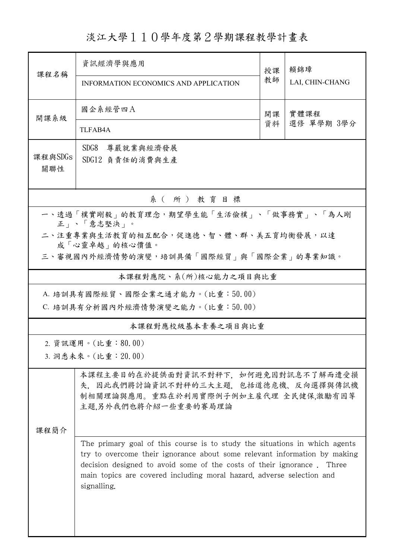淡江大學110學年度第2學期課程教學計畫表

| 課程名稱                                                                                                                | 資訊經濟學與應用<br>INFORMATION ECONOMICS AND APPLICATION                                                                                                                                                                                                                                                                                                                                                                                                                         | 授課<br>教師 | 賴錦璋<br>LAI, CHIN-CHANG |  |  |  |  |  |
|---------------------------------------------------------------------------------------------------------------------|---------------------------------------------------------------------------------------------------------------------------------------------------------------------------------------------------------------------------------------------------------------------------------------------------------------------------------------------------------------------------------------------------------------------------------------------------------------------------|----------|------------------------|--|--|--|--|--|
| 開課系級                                                                                                                | 國企系經管四A<br>TLFAB4A                                                                                                                                                                                                                                                                                                                                                                                                                                                        | 開課<br>資料 | 實體課程<br>選修 單學期 3學分     |  |  |  |  |  |
| 課程與SDGs<br>關聯性                                                                                                      | SDG8<br>尊嚴就業與經濟發展<br>SDG12 負責任的消費與生產                                                                                                                                                                                                                                                                                                                                                                                                                                      |          |                        |  |  |  |  |  |
| 系(所)教育目標                                                                                                            |                                                                                                                                                                                                                                                                                                                                                                                                                                                                           |          |                        |  |  |  |  |  |
| 一、透過「樸實剛毅」的教育理念,期望學生能「生活儉樸」、「做事務實」、「為人剛<br>正   、「意志堅決   。<br>二、注重專業與生活教育的相互配合,促進德、智、體、群、美五育均衡發展,以達<br>成「心靈卓越」的核心價值。 |                                                                                                                                                                                                                                                                                                                                                                                                                                                                           |          |                        |  |  |  |  |  |
| 三、審視國內外經濟情勢的演變,培訓具備「國際經貿」與「國際企業」的專業知識。                                                                              |                                                                                                                                                                                                                                                                                                                                                                                                                                                                           |          |                        |  |  |  |  |  |
| 本課程對應院、系(所)核心能力之項目與比重                                                                                               |                                                                                                                                                                                                                                                                                                                                                                                                                                                                           |          |                        |  |  |  |  |  |
| A. 培訓具有國際經貿、國際企業之通才能力。(比重:50.00)<br>C. 培訓具有分析國內外經濟情勢演變之能力。(比重:50.00)                                                |                                                                                                                                                                                                                                                                                                                                                                                                                                                                           |          |                        |  |  |  |  |  |
| 本課程對應校級基本素養之項目與比重                                                                                                   |                                                                                                                                                                                                                                                                                                                                                                                                                                                                           |          |                        |  |  |  |  |  |
| 2. 資訊運用。(比重:80.00)<br>3. 洞悉未來。(比重: 20.00)                                                                           |                                                                                                                                                                                                                                                                                                                                                                                                                                                                           |          |                        |  |  |  |  |  |
| 课程简介                                                                                                                | 本課程主要目的在於提供面對資訊不對秤下,如何避免因對訊息不了解而遭受損<br>失, 因此我們將討論資訊不對秤的三大主題, 包括道德危機、反向選擇與傳訊機<br>制相關理論與應用。重點在於利用實際例子例如主雇代理 全民健保,激勵有因等<br>主題.另外我們也將介紹一些重要的賽局理論<br>The primary goal of this course is to study the situations in which agents<br>try to overcome their ignorance about some relevant information by making<br>decision designed to avoid some of the costs of their ignorance. Three<br>main topics are covered including moral hazard, adverse selection and<br>signalling. |          |                        |  |  |  |  |  |
|                                                                                                                     |                                                                                                                                                                                                                                                                                                                                                                                                                                                                           |          |                        |  |  |  |  |  |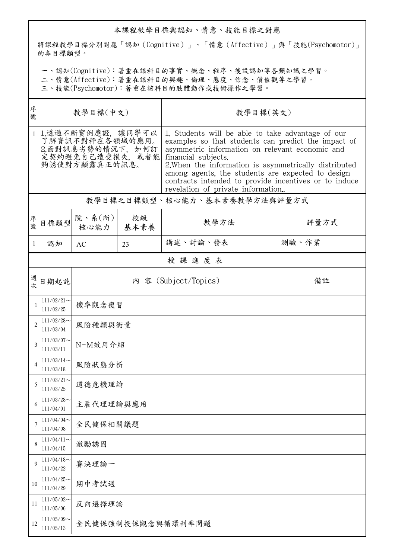## 本課程教學目標與認知、情意、技能目標之對應

將課程教學目標分別對應「認知(Cognitive)」、「情意(Affective)」與「技能(Psychomotor)」 的各目標類型。

一、認知(Cognitive):著重在該科目的事實、概念、程序、後設認知等各類知識之學習。

二、情意(Affective):著重在該科目的興趣、倫理、態度、信念、價值觀等之學習。

三、技能(Psychomotor):著重在該科目的肢體動作或技術操作之學習。

| 序<br>號                       | 教學目標(中文)                                                                                       |                          |            | 教學目標(英文)                                                                                                                                                                                                                                                                                                                                                                                        |       |  |  |
|------------------------------|------------------------------------------------------------------------------------------------|--------------------------|------------|-------------------------------------------------------------------------------------------------------------------------------------------------------------------------------------------------------------------------------------------------------------------------------------------------------------------------------------------------------------------------------------------------|-------|--|--|
| $\mathbf{1}$                 | 1.透過不斷實例應證, 讓同學可以<br>了解資訊不對秤在各領域的應用。<br>2.面對訊息劣勢的情況下, 如何訂<br>定契約避免自己遭受損失, 或者能<br>夠誘使對方顯露真正的訊息。 |                          |            | 1. Students will be able to take advantage of our<br>examples so that students can predict the impact of<br>asymmetric information on relevant economic and<br>financial subjects.<br>2. When the information is asymmetrically distributed<br>among agents, the students are expected to design<br>contracts intended to provide incentives or to induce<br>revelation of private information. |       |  |  |
| 教學目標之目標類型、核心能力、基本素養教學方法與評量方式 |                                                                                                |                          |            |                                                                                                                                                                                                                                                                                                                                                                                                 |       |  |  |
| 序號                           | 目標類型                                                                                           | 院、系 $(\text{m})$<br>核心能力 | 校級<br>基本素養 | 教學方法                                                                                                                                                                                                                                                                                                                                                                                            | 評量方式  |  |  |
| 1                            | 認知                                                                                             | AC                       | 23         | 講述、討論、發表                                                                                                                                                                                                                                                                                                                                                                                        | 測驗、作業 |  |  |
|                              | 授課進度表                                                                                          |                          |            |                                                                                                                                                                                                                                                                                                                                                                                                 |       |  |  |
| 週<br>欤                       | 日期起訖                                                                                           |                          |            | 內 容 (Subject/Topics)                                                                                                                                                                                                                                                                                                                                                                            | 備註    |  |  |
| 1                            | $111/02/21$ ~<br>111/02/25                                                                     | 機率觀念複習                   |            |                                                                                                                                                                                                                                                                                                                                                                                                 |       |  |  |
| $\overline{2}$               | $111/02/28$ ~<br>111/03/04                                                                     | 風險種類與衡量                  |            |                                                                                                                                                                                                                                                                                                                                                                                                 |       |  |  |
| 3                            | $111/03/07$ ~<br>111/03/11                                                                     | N-M效用介紹                  |            |                                                                                                                                                                                                                                                                                                                                                                                                 |       |  |  |
| 4                            | $111/03/14$ ~<br>111/03/18                                                                     | 風險狀態分析                   |            |                                                                                                                                                                                                                                                                                                                                                                                                 |       |  |  |
| 5                            | $111/03/21$ ~<br>111/03/25                                                                     | 道德危機理論                   |            |                                                                                                                                                                                                                                                                                                                                                                                                 |       |  |  |
| 6                            | $111/03/28$ ~<br>111/04/01                                                                     | 主雇代理理論與應用                |            |                                                                                                                                                                                                                                                                                                                                                                                                 |       |  |  |
| 7                            | $111/04/04$ ~<br>111/04/08                                                                     | 全民健保相關議題                 |            |                                                                                                                                                                                                                                                                                                                                                                                                 |       |  |  |
| 8                            | $111/04/11$ ~<br>111/04/15                                                                     | 激勵誘因                     |            |                                                                                                                                                                                                                                                                                                                                                                                                 |       |  |  |
| 9                            | $111/04/18$ ~<br>111/04/22                                                                     | 賽決理論一                    |            |                                                                                                                                                                                                                                                                                                                                                                                                 |       |  |  |
| 10                           | $111/04/25$ ~<br>111/04/29                                                                     | 期中考試週                    |            |                                                                                                                                                                                                                                                                                                                                                                                                 |       |  |  |
| 11                           | $111/05/02$ ~<br>111/05/06                                                                     | 反向選擇理論                   |            |                                                                                                                                                                                                                                                                                                                                                                                                 |       |  |  |
| 12                           | $111/05/09$ ~<br>111/05/13                                                                     | 全民健保強制投保觀念與循環利率問題        |            |                                                                                                                                                                                                                                                                                                                                                                                                 |       |  |  |